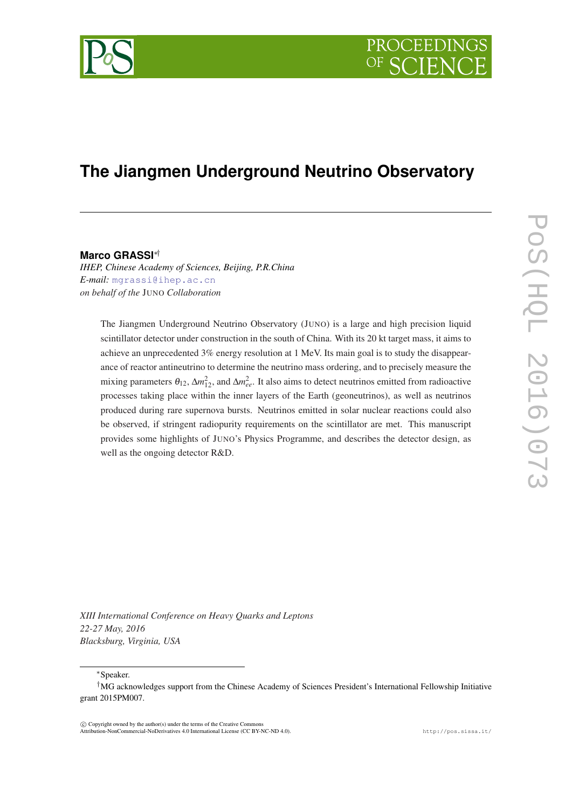

# **The Jiangmen Underground Neutrino Observatory**

## **Marco GRASSI**∗†

*IHEP, Chinese Academy of Sciences, Beijing, P.R.China E-mail:* [mgrassi@ihep.ac.cn](mailto:mgrassi@ihep.ac.cn) *on behalf of the* JUNO *Collaboration*

The Jiangmen Underground Neutrino Observatory (JUNO) is a large and high precision liquid scintillator detector under construction in the south of China. With its 20 kt target mass, it aims to achieve an unprecedented 3% energy resolution at 1 MeV. Its main goal is to study the disappearance of reactor antineutrino to determine the neutrino mass ordering, and to precisely measure the mixing parameters  $\theta_{12}$ ,  $\Delta m_{12}^2$ , and  $\Delta m_{ee}^2$ . It also aims to detect neutrinos emitted from radioactive processes taking place within the inner layers of the Earth (geoneutrinos), as well as neutrinos produced during rare supernova bursts. Neutrinos emitted in solar nuclear reactions could also be observed, if stringent radiopurity requirements on the scintillator are met. This manuscript provides some highlights of JUNO's Physics Programme, and describes the detector design, as well as the ongoing detector R&D.

*XIII International Conference on Heavy Quarks and Leptons 22-27 May, 2016 Blacksburg, Virginia, USA*

<sup>∗</sup>Speaker.

 $\overline{c}$  Copyright owned by the author(s) under the terms of the Creative Common Attribution-NonCommercial-NoDerivatives 4.0 International License (CC BY-NC-ND 4.0). http://pos.sissa.it/

<sup>†</sup>MG acknowledges support from the Chinese Academy of Sciences President's International Fellowship Initiative grant 2015PM007.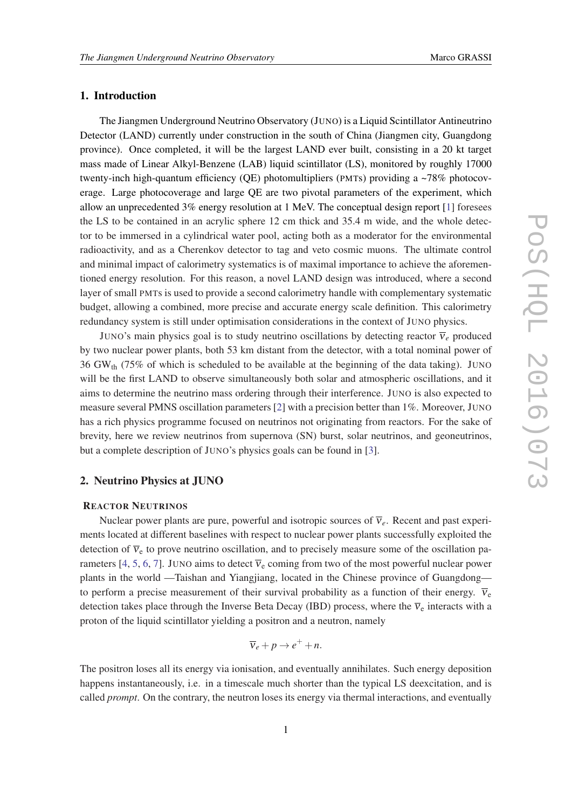## 1. Introduction

The Jiangmen Underground Neutrino Observatory (JUNO) is a Liquid Scintillator Antineutrino Detector (LAND) currently under construction in the south of China (Jiangmen city, Guangdong province). Once completed, it will be the largest LAND ever built, consisting in a 20 kt target mass made of Linear Alkyl-Benzene (LAB) liquid scintillator (LS), monitored by roughly 17000 twenty-inch high-quantum efficiency (QE) photomultipliers (PMTs) providing a  $\sim$ 78% photocoverage. Large photocoverage and large QE are two pivotal parameters of the experiment, which allow an unprecedented 3% energy resolution at 1 MeV. The conceptual design report [\[1\]](#page-8-0) foresees the LS to be contained in an acrylic sphere 12 cm thick and 35.4 m wide, and the whole detector to be immersed in a cylindrical water pool, acting both as a moderator for the environmental radioactivity, and as a Cherenkov detector to tag and veto cosmic muons. The ultimate control and minimal impact of calorimetry systematics is of maximal importance to achieve the aforementioned energy resolution. For this reason, a novel LAND design was introduced, where a second layer of small PMTs is used to provide a second calorimetry handle with complementary systematic budget, allowing a combined, more precise and accurate energy scale definition. This calorimetry redundancy system is still under optimisation considerations in the context of JUNO physics.

JUNO's main physics goal is to study neutrino oscillations by detecting reactor  $\overline{v}_e$  produced by two nuclear power plants, both 53 km distant from the detector, with a total nominal power of 36 GW<sub>th</sub> (75% of which is scheduled to be available at the beginning of the data taking). JUNO will be the first LAND to observe simultaneously both solar and atmospheric oscillations, and it aims to determine the neutrino mass ordering through their interference. JUNO is also expected to measure several PMNS oscillation parameters [\[2\]](#page-8-0) with a precision better than 1%. Moreover, JUNO has a rich physics programme focused on neutrinos not originating from reactors. For the sake of brevity, here we review neutrinos from supernova (SN) burst, solar neutrinos, and geoneutrinos, but a complete description of JUNO's physics goals can be found in [\[3\]](#page-8-0).

# 2. Neutrino Physics at JUNO

#### REACTOR NEUTRINOS

Nuclear power plants are pure, powerful and isotropic sources of  $\overline{v}_e$ . Recent and past experiments located at different baselines with respect to nuclear power plants successfully exploited the detection of  $\overline{v}_e$  to prove neutrino oscillation, and to precisely measure some of the oscillation pa-rameters [\[4,](#page-8-0) [5](#page-8-0), [6](#page-8-0), [7](#page-8-0)]. JUNO aims to detect  $\overline{v}_e$  coming from two of the most powerful nuclear power plants in the world —Taishan and Yiangjiang, located in the Chinese province of Guangdong to perform a precise measurement of their survival probability as a function of their energy.  $\bar{v}_e$ detection takes place through the Inverse Beta Decay (IBD) process, where the  $\overline{v}_e$  interacts with a proton of the liquid scintillator yielding a positron and a neutron, namely

$$
\overline{\mathbf{v}}_e + p \to e^+ + n.
$$

The positron loses all its energy via ionisation, and eventually annihilates. Such energy deposition happens instantaneously, i.e. in a timescale much shorter than the typical LS deexcitation, and is called *prompt*. On the contrary, the neutron loses its energy via thermal interactions, and eventually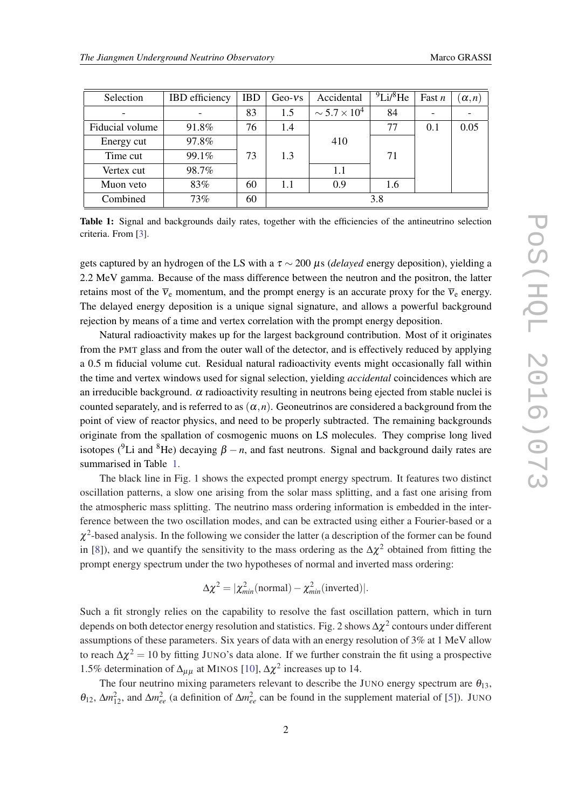| Selection       | <b>IBD</b> efficiency | <b>IBD</b> | $Geo-vs$ | Accidental             | $^{9}$ Li/ $^{8}$ He | Fast $n$ | $(\alpha, n)$ |
|-----------------|-----------------------|------------|----------|------------------------|----------------------|----------|---------------|
|                 |                       | 83         | 1.5      | $\sim 5.7 \times 10^4$ | 84                   |          |               |
| Fiducial volume | 91.8%                 | 76         | 1.4      |                        | 77                   | 0.1      | 0.05          |
| Energy cut      | 97.8%                 |            |          | 410                    |                      |          |               |
| Time cut        | 99.1%                 | 73         | 1.3      |                        | 71                   |          |               |
| Vertex cut      | 98.7%                 |            |          | 1.1                    |                      |          |               |
| Muon veto       | 83%                   | 60         | 1.1      | 0.9                    | 1.6                  |          |               |
| Combined        | 73%                   | 60         | 3.8      |                        |                      |          |               |

Table 1: Signal and backgrounds daily rates, together with the efficiencies of the antineutrino selection criteria. From [[3\]](#page-8-0).

gets captured by an hydrogen of the LS with a  $\tau \sim 200 \mu s$  (*delayed* energy deposition), yielding a 2.2 MeV gamma. Because of the mass difference between the neutron and the positron, the latter retains most of the  $\overline{v}_e$  momentum, and the prompt energy is an accurate proxy for the  $\overline{v}_e$  energy. The delayed energy deposition is a unique signal signature, and allows a powerful background rejection by means of a time and vertex correlation with the prompt energy deposition.

Natural radioactivity makes up for the largest background contribution. Most of it originates from the PMT glass and from the outer wall of the detector, and is effectively reduced by applying a 0.5 m fiducial volume cut. Residual natural radioactivity events might occasionally fall within the time and vertex windows used for signal selection, yielding *accidental* coincidences which are an irreducible background.  $\alpha$  radioactivity resulting in neutrons being ejected from stable nuclei is counted separately, and is referred to as  $(\alpha, n)$ . Geoneutrinos are considered a background from the point of view of reactor physics, and need to be properly subtracted. The remaining backgrounds originate from the spallation of cosmogenic muons on LS molecules. They comprise long lived isotopes (<sup>9</sup>Li and <sup>8</sup>He) decaying  $\beta - n$ , and fast neutrons. Signal and background daily rates are summarised in Table 1.

The black line in Fig. 1 shows the expected prompt energy spectrum. It features two distinct oscillation patterns, a slow one arising from the solar mass splitting, and a fast one arising from the atmospheric mass splitting. The neutrino mass ordering information is embedded in the interference between the two oscillation modes, and can be extracted using either a Fourier-based or a  $\chi^2$ -based analysis. In the following we consider the latter (a description of the former can be found in [[8](#page-8-0)]), and we quantify the sensitivity to the mass ordering as the  $\Delta \chi^2$  obtained from fitting the prompt energy spectrum under the two hypotheses of normal and inverted mass ordering:

$$
\Delta \chi^2 = |\chi^2_{min}(\text{normal}) - \chi^2_{min}(\text{inverted})|.
$$

Such a fit strongly relies on the capability to resolve the fast oscillation pattern, which in turn depends on both detector energy resolution and statistics. Fig. 2 shows  $\Delta\chi^2$  contours under different assumptions of these parameters. Six years of data with an energy resolution of 3% at 1 MeV allow to reach  $\Delta \chi^2 = 10$  by fitting JUNO's data alone. If we further constrain the fit using a prospective 1.5% determination of  $\Delta_{\mu\mu}$  at MINOS [\[10](#page-9-0)],  $\Delta \chi^2$  increases up to 14.

The four neutrino mixing parameters relevant to describe the JUNO energy spectrum are  $\theta_{13}$ ,  $\theta_{12}$ ,  $\Delta m_{12}^2$ , and  $\Delta m_{ee}^2$  (a definition of  $\Delta m_{ee}^2$  can be found in the supplement material of [[5](#page-8-0)]). JUNO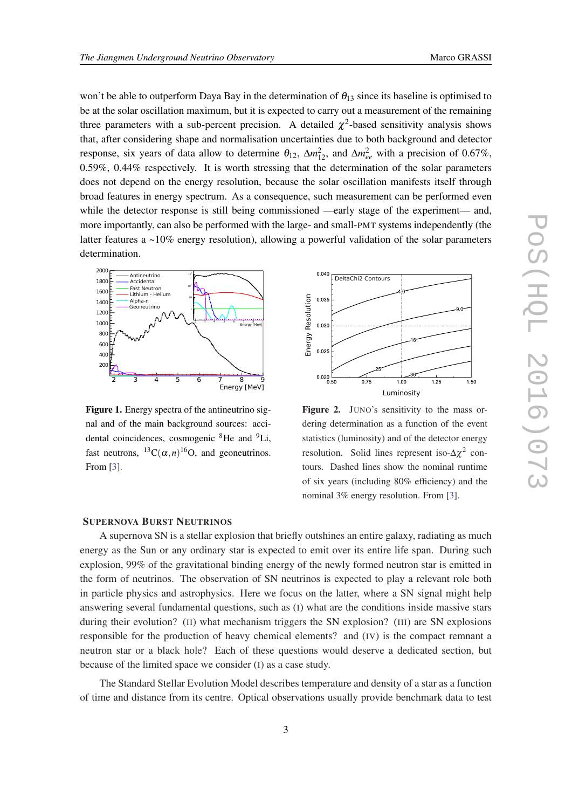won't be able to outperform Daya Bay in the determination of  $\theta_{13}$  since its baseline is optimised to be at the solar oscillation maximum, but it is expected to carry out a measurement of the remaining three parameters with a sub-percent precision. A detailed  $\chi^2$ -based sensitivity analysis shows that, after considering shape and normalisation uncertainties due to both background and detector response, six years of data allow to determine  $\theta_{12}$ ,  $\Delta m_{12}^2$ , and  $\Delta m_{ee}^2$  with a precision of 0.67%, 0.59%, 0.44% respectively. It is worth stressing that the determination of the solar parameters does not depend on the energy resolution, because the solar oscillation manifests itself through broad features in energy spectrum. As a consequence, such measurement can be performed even while the detector response is still being commissioned —early stage of the experiment— and, more importantly, can also be performed with the large- and small-PMT systems independently (the latter features a  $\sim$ 10% energy resolution), allowing a powerful validation of the solar parameters determination.



Figure 1. Energy spectra of the antineutrino signal and of the main background sources: accidental coincidences, cosmogenic <sup>8</sup>He and <sup>9</sup>Li, fast neutrons,  ${}^{13}C(\alpha, n){}^{16}O$ , and geoneutrinos. From [[3\]](#page-8-0).



Figure 2. JUNO's sensitivity to the mass ordering determination as a function of the event statistics (luminosity) and of the detector energy resolution. Solid lines represent iso- $\Delta \chi^2$  contours. Dashed lines show the nominal runtime of six years (including 80% efficiency) and the nominal 3% energy resolution. From [[3\]](#page-8-0).

## SUPERNOVA BURST NEUTRINOS

A supernova SN is a stellar explosion that briefly outshines an entire galaxy, radiating as much energy as the Sun or any ordinary star is expected to emit over its entire life span. During such explosion, 99% of the gravitational binding energy of the newly formed neutron star is emitted in the form of neutrinos. The observation of SN neutrinos is expected to play a relevant role both in particle physics and astrophysics. Here we focus on the latter, where a SN signal might help answering several fundamental questions, such as (I) what are the conditions inside massive stars during their evolution? (II) what mechanism triggers the SN explosion? (III) are SN explosions responsible for the production of heavy chemical elements? and (IV) is the compact remnant a neutron star or a black hole? Each of these questions would deserve a dedicated section, but because of the limited space we consider (I) as a case study.

The Standard Stellar Evolution Model describes temperature and density of a star as a function of time and distance from its centre. Optical observations usually provide benchmark data to test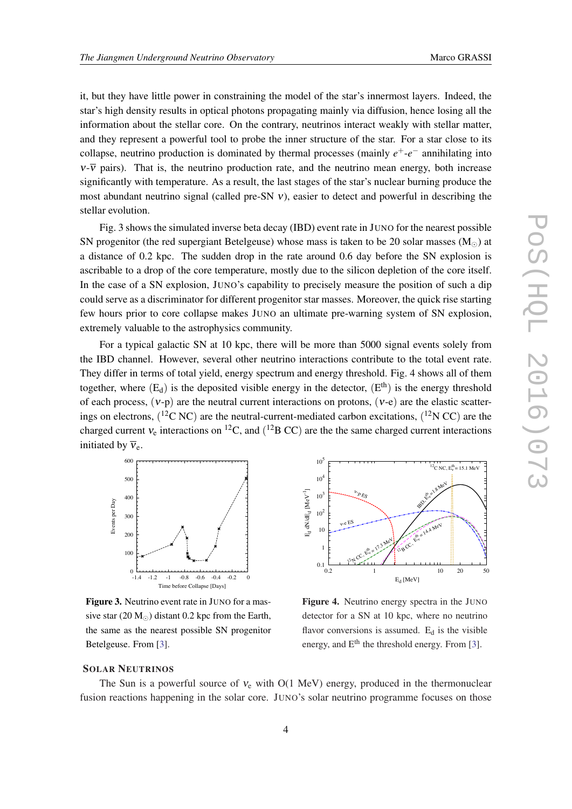it, but they have little power in constraining the model of the star's innermost layers. Indeed, the star's high density results in optical photons propagating mainly via diffusion, hence losing all the information about the stellar core. On the contrary, neutrinos interact weakly with stellar matter, and they represent a powerful tool to probe the inner structure of the star. For a star close to its collapse, neutrino production is dominated by thermal processes (mainly *e* <sup>+</sup>-*e* <sup>−</sup> annihilating into  $v\overline{v}$  pairs). That is, the neutrino production rate, and the neutrino mean energy, both increase significantly with temperature. As a result, the last stages of the star's nuclear burning produce the most abundant neutrino signal (called pre-SN  $v$ ), easier to detect and powerful in describing the stellar evolution.

Fig. 3 shows the simulated inverse beta decay (IBD) event rate in JUNO for the nearest possible SN progenitor (the red supergiant Betelgeuse) whose mass is taken to be 20 solar masses ( $M_{\odot}$ ) at a distance of 0.2 kpc. The sudden drop in the rate around 0.6 day before the SN explosion is ascribable to a drop of the core temperature, mostly due to the silicon depletion of the core itself. In the case of a SN explosion, JUNO's capability to precisely measure the position of such a dip could serve as a discriminator for different progenitor star masses. Moreover, the quick rise starting few hours prior to core collapse makes JUNO an ultimate pre-warning system of SN explosion, extremely valuable to the astrophysics community.

For a typical galactic SN at 10 kpc, there will be more than 5000 signal events solely from the IBD channel. However, several other neutrino interactions contribute to the total event rate. They differ in terms of total yield, energy spectrum and energy threshold. Fig. 4 shows all of them together, where  $(E_d)$  is the deposited visible energy in the detector,  $(E^{th})$  is the energy threshold of each process,  $(v-p)$  are the neutral current interactions on protons,  $(v-e)$  are the elastic scatterings on electrons,  $(^{12}C$  NC) are the neutral-current-mediated carbon excitations,  $(^{12}N$  CC) are the charged current  $v_e$  interactions on <sup>12</sup>C, and (<sup>12</sup>B CC) are the the same charged current interactions initiated by  $\bar{v}_e$ 



Figure 3. Neutrino event rate in JUNO for a massive star (20  $M_{\odot}$ ) distant 0.2 kpc from the Earth, the same as the nearest possible SN progenitor Betelgeuse. From [\[3\]](#page-8-0).



Figure 4. Neutrino energy spectra in the JUNO detector for a SN at 10 kpc, where no neutrino flavor conversions is assumed.  $E_d$  is the visible energy, and  $E^{th}$  the threshold energy. From [\[3](#page-8-0)].

#### SOLAR NEUTRINOS

The Sun is a powerful source of  $v_e$  with O(1 MeV) energy, produced in the thermonuclear fusion reactions happening in the solar core. JUNO's solar neutrino programme focuses on those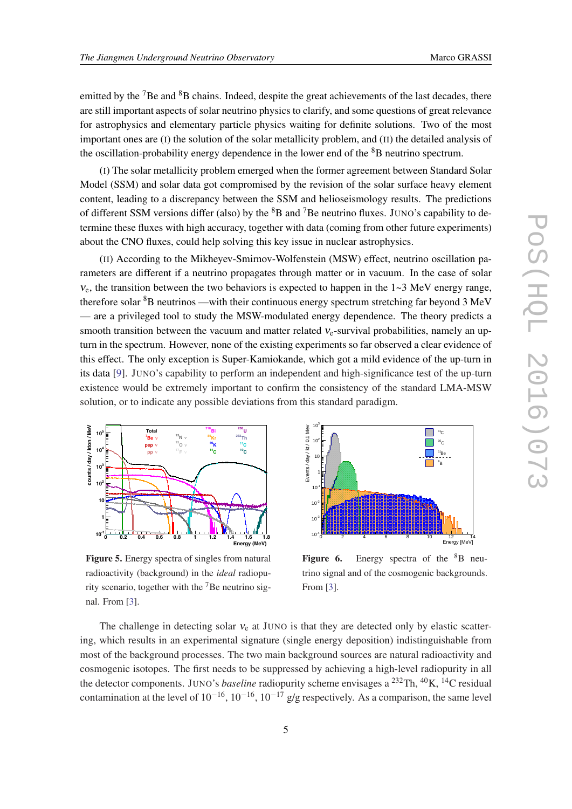emitted by the <sup>7</sup>Be and <sup>8</sup>B chains. Indeed, despite the great achievements of the last decades, there are still important aspects of solar neutrino physics to clarify, and some questions of great relevance for astrophysics and elementary particle physics waiting for definite solutions. Two of the most important ones are (I) the solution of the solar metallicity problem, and (II) the detailed analysis of the oscillation-probability energy dependence in the lower end of the  ${}^{8}B$  neutrino spectrum.

(I) The solar metallicity problem emerged when the former agreement between Standard Solar Model (SSM) and solar data got compromised by the revision of the solar surface heavy element content, leading to a discrepancy between the SSM and helioseismology results. The predictions of different SSM versions differ (also) by the  ${}^{8}B$  and  ${}^{7}Be$  neutrino fluxes. JUNO's capability to determine these fluxes with high accuracy, together with data (coming from other future experiments) about the CNO fluxes, could help solving this key issue in nuclear astrophysics.

(II) According to the Mikheyev-Smirnov-Wolfenstein (MSW) effect, neutrino oscillation parameters are different if a neutrino propagates through matter or in vacuum. In the case of solar  $v_{e}$ , the transition between the two behaviors is expected to happen in the 1~3 MeV energy range, therefore solar  ${}^{8}B$  neutrinos —with their continuous energy spectrum stretching far beyond 3 MeV — are a privileged tool to study the MSW-modulated energy dependence. The theory predicts a smooth transition between the vacuum and matter related  $v_e$ -survival probabilities, namely an upturn in the spectrum. However, none of the existing experiments so far observed a clear evidence of this effect. The only exception is Super-Kamiokande, which got a mild evidence of the up-turn in its data [\[9\]](#page-8-0). JUNO's capability to perform an independent and high-significance test of the up-turn existence would be extremely important to confirm the consistency of the standard LMA-MSW solution, or to indicate any possible deviations from this standard paradigm.

 $10^3$  E



Figure 5. Energy spectra of singles from natural radioactivity (background) in the *ideal* radiopurity scenario, together with the  $^7$ Be neutrino signal. From [\[3](#page-8-0)].

Events / day / kt / 0.1 Mev Events / day / kt / 0.1 Mev  $11<sub>C</sub>$  $10^2$  $10<sub>0</sub>$  $^{\circ}$ C  $11$ Be 10 量  $8<sub>5</sub>$ B 1⊫, 1<sub>0</sub>  $10$  $10$  $10^{-1}$ 0 2 4 6 8 10 12 14<br>Energy [MeV]

Figure 6. Energy spectra of the  ${}^{8}B$  neutrino signal and of the cosmogenic backgrounds. From [\[3](#page-8-0)].

The challenge in detecting solar  $v_e$  at JUNO is that they are detected only by elastic scattering, which results in an experimental signature (single energy deposition) indistinguishable from most of the background processes. The two main background sources are natural radioactivity and cosmogenic isotopes. The first needs to be suppressed by achieving a high-level radiopurity in all the detector components. JUNO's *baseline* radiopurity scheme envisages a <sup>232</sup>Th, <sup>40</sup>K, <sup>14</sup>C residual contamination at the level of  $10^{-16}$ ,  $10^{-16}$ ,  $10^{-17}$  g/g respectively. As a comparison, the same level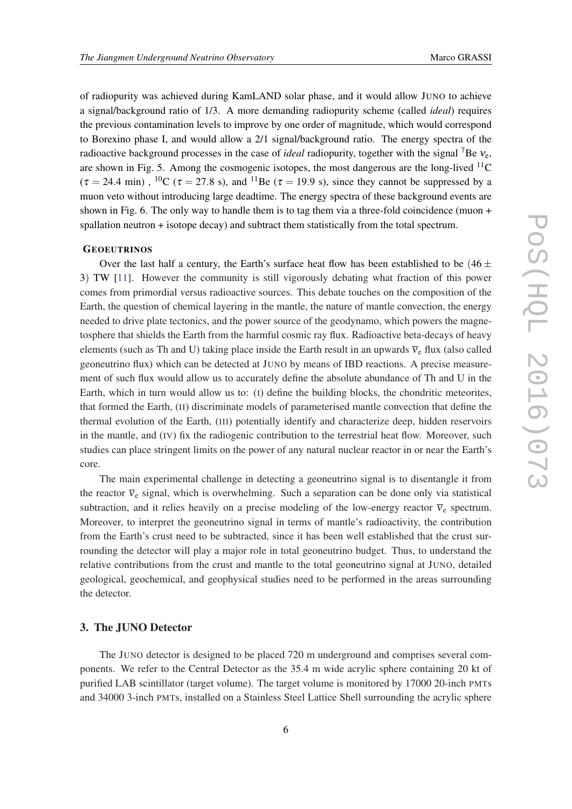of radiopurity was achieved during KamLAND solar phase, and it would allow JUNO to achieve a signal/background ratio of 1/3. A more demanding radiopurity scheme (called *ideal*) requires the previous contamination levels to improve by one order of magnitude, which would correspond to Borexino phase I, and would allow a 2/1 signal/background ratio. The energy spectra of the radioactive background processes in the case of *ideal* radiopurity, together with the signal <sup>7</sup>Be ν<sub>e</sub>, are shown in Fig. 5. Among the cosmogenic isotopes, the most dangerous are the long-lived <sup>11</sup>C  $(\tau = 24.4 \text{ min})$ , <sup>10</sup>C ( $\tau = 27.8 \text{ s}$ ), and <sup>11</sup>Be ( $\tau = 19.9 \text{ s}$ ), since they cannot be suppressed by a muon veto without introducing large deadtime. The energy spectra of these background events are shown in Fig. 6. The only way to handle them is to tag them via a three-fold coincidence (muon + spallation neutron + isotope decay) and subtract them statistically from the total spectrum.

## **GEOEUTRINOS**

Over the last half a century, the Earth's surface heat flow has been established to be  $(46 \pm 1)$ 3) TW [\[11](#page-9-0)]. However the community is still vigorously debating what fraction of this power comes from primordial versus radioactive sources. This debate touches on the composition of the Earth, the question of chemical layering in the mantle, the nature of mantle convection, the energy needed to drive plate tectonics, and the power source of the geodynamo, which powers the magnetosphere that shields the Earth from the harmful cosmic ray flux. Radioactive beta-decays of heavy elements (such as Th and U) taking place inside the Earth result in an upwards  $\overline{v}_e$  flux (also called geoneutrino flux) which can be detected at JUNO by means of IBD reactions. A precise measurement of such flux would allow us to accurately define the absolute abundance of Th and U in the Earth, which in turn would allow us to: (I) define the building blocks, the chondritic meteorites, that formed the Earth, (II) discriminate models of parameterised mantle convection that define the thermal evolution of the Earth, (III) potentially identify and characterize deep, hidden reservoirs in the mantle, and (IV) fix the radiogenic contribution to the terrestrial heat flow. Moreover, such studies can place stringent limits on the power of any natural nuclear reactor in or near the Earth's core.

The main experimental challenge in detecting a geoneutrino signal is to disentangle it from the reactor  $\bar{v}_e$  signal, which is overwhelming. Such a separation can be done only via statistical subtraction, and it relies heavily on a precise modeling of the low-energy reactor  $\overline{v}_e$  spectrum. Moreover, to interpret the geoneutrino signal in terms of mantle's radioactivity, the contribution from the Earth's crust need to be subtracted, since it has been well established that the crust surrounding the detector will play a major role in total geoneutrino budget. Thus, to understand the relative contributions from the crust and mantle to the total geoneutrino signal at JUNO, detailed geological, geochemical, and geophysical studies need to be performed in the areas surrounding the detector.

#### 3. The JUNO Detector

The JUNO detector is designed to be placed 720 m underground and comprises several components. We refer to the Central Detector as the 35.4 m wide acrylic sphere containing 20 kt of purified LAB scintillator (target volume). The target volume is monitored by 17000 20-inch PMTs and 34000 3-inch PMTs, installed on a Stainless Steel Lattice Shell surrounding the acrylic sphere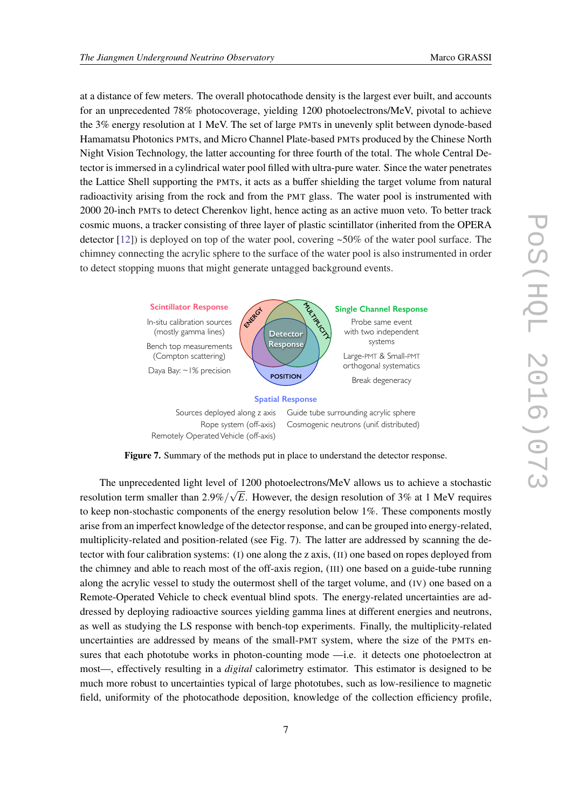at a distance of few meters. The overall photocathode density is the largest ever built, and accounts for an unprecedented 78% photocoverage, yielding 1200 photoelectrons/MeV, pivotal to achieve the 3% energy resolution at 1 MeV. The set of large PMTs in unevenly split between dynode-based Hamamatsu Photonics PMTs, and Micro Channel Plate-based PMTs produced by the Chinese North Night Vision Technology, the latter accounting for three fourth of the total. The whole Central Detector is immersed in a cylindrical water pool filled with ultra-pure water. Since the water penetrates the Lattice Shell supporting the PMTs, it acts as a buffer shielding the target volume from natural radioactivity arising from the rock and from the PMT glass. The water pool is instrumented with 2000 20-inch PMTs to detect Cherenkov light, hence acting as an active muon veto. To better track cosmic muons, a tracker consisting of three layer of plastic scintillator (inherited from the OPERA detector [[12\]](#page-9-0)) is deployed on top of the water pool, covering ~50% of the water pool surface. The chimney connecting the acrylic sphere to the surface of the water pool is also instrumented in order to detect stopping muons that might generate untagged background events.  $\overline{\phantom{a}}$ e untag non-uniformity of the same of the same of the same of the same of the same of the same of the same of the same of the same of the same of the same of the same of the same of the same of the same of the same of the same of ckøround i  $\mathbf{b}$ 



Figure 7. Summary of the methods put in place to understand the detector response.

The unprecedented light level of 1200 photoelectrons/MeV allows us to achieve a stochastic resolution term smaller than 2.9%/ *E*. However, the design resolution of 3% at 1 MeV requires to keep non-stochastic components of the energy resolution below 1%. These components mostly arise from an imperfect knowledge of the detector response, and can be grouped into energy-related, multiplicity-related and position-related (see Fig. 7). The latter are addressed by scanning the detector with four calibration systems: (I) one along the z axis, (II) one based on ropes deployed from the chimney and able to reach most of the off-axis region, (III) one based on a guide-tube running along the acrylic vessel to study the outermost shell of the target volume, and (IV) one based on a Remote-Operated Vehicle to check eventual blind spots. The energy-related uncertainties are addressed by deploying radioactive sources yielding gamma lines at different energies and neutrons, as well as studying the LS response with bench-top experiments. Finally, the multiplicity-related uncertainties are addressed by means of the small-PMT system, where the size of the PMTs ensures that each phototube works in photon-counting mode —i.e. it detects one photoelectron at most—, effectively resulting in a *digital* calorimetry estimator. This estimator is designed to be much more robust to uncertainties typical of large phototubes, such as low-resilience to magnetic field, uniformity of the photocathode deposition, knowledge of the collection efficiency profile,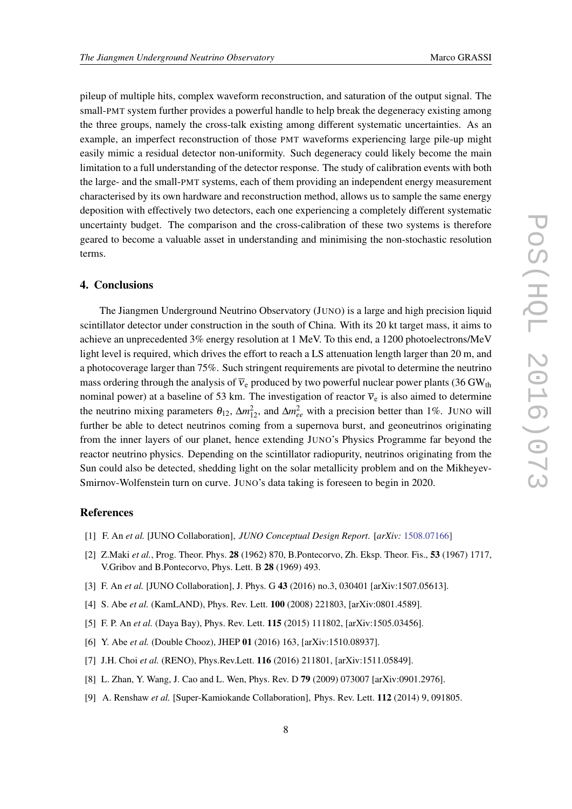<span id="page-8-0"></span>pileup of multiple hits, complex waveform reconstruction, and saturation of the output signal. The small-PMT system further provides a powerful handle to help break the degeneracy existing among the three groups, namely the cross-talk existing among different systematic uncertainties. As an example, an imperfect reconstruction of those PMT waveforms experiencing large pile-up might easily mimic a residual detector non-uniformity. Such degeneracy could likely become the main limitation to a full understanding of the detector response. The study of calibration events with both the large- and the small-PMT systems, each of them providing an independent energy measurement characterised by its own hardware and reconstruction method, allows us to sample the same energy deposition with effectively two detectors, each one experiencing a completely different systematic uncertainty budget. The comparison and the cross-calibration of these two systems is therefore geared to become a valuable asset in understanding and minimising the non-stochastic resolution terms.

### 4. Conclusions

The Jiangmen Underground Neutrino Observatory (JUNO) is a large and high precision liquid scintillator detector under construction in the south of China. With its 20 kt target mass, it aims to achieve an unprecedented 3% energy resolution at 1 MeV. To this end, a 1200 photoelectrons/MeV light level is required, which drives the effort to reach a LS attenuation length larger than 20 m, and a photocoverage larger than 75%. Such stringent requirements are pivotal to determine the neutrino mass ordering through the analysis of  $\overline{v}_e$  produced by two powerful nuclear power plants (36 GW<sub>th</sub>) nominal power) at a baseline of 53 km. The investigation of reactor  $\overline{v}_e$  is also aimed to determine the neutrino mixing parameters  $\theta_{12}$ ,  $\Delta m_{12}^2$ , and  $\Delta m_{ee}^2$  with a precision better than 1%. JUNO will further be able to detect neutrinos coming from a supernova burst, and geoneutrinos originating from the inner layers of our planet, hence extending JUNO's Physics Programme far beyond the reactor neutrino physics. Depending on the scintillator radiopurity, neutrinos originating from the Sun could also be detected, shedding light on the solar metallicity problem and on the Mikheyev-Smirnov-Wolfenstein turn on curve. JUNO's data taking is foreseen to begin in 2020.

# References

- [1] F. An *et al.* [JUNO Collaboration], *JUNO Conceptual Design Report*. [*arXiv:* [1508.07166\]](http://arxiv.org/abs/1508.07166)
- [2] Z.Maki *et al.*, Prog. Theor. Phys. 28 (1962) 870, B.Pontecorvo, Zh. Eksp. Theor. Fis., 53 (1967) 1717, V.Gribov and B.Pontecorvo, Phys. Lett. B 28 (1969) 493.
- [3] F. An *et al.* [JUNO Collaboration], J. Phys. G 43 (2016) no.3, 030401 [arXiv:1507.05613].
- [4] S. Abe *et al.* (KamLAND), Phys. Rev. Lett. 100 (2008) 221803, [arXiv:0801.4589].
- [5] F. P. An *et al.* (Daya Bay), Phys. Rev. Lett. 115 (2015) 111802, [arXiv:1505.03456].
- [6] Y. Abe *et al.* (Double Chooz), JHEP 01 (2016) 163, [arXiv:1510.08937].
- [7] J.H. Choi *et al.* (RENO), Phys.Rev.Lett. **116** (2016) 211801, [arXiv:1511.05849].
- [8] L. Zhan, Y. Wang, J. Cao and L. Wen, Phys. Rev. D 79 (2009) 073007 [arXiv:0901.2976].
- [9] A. Renshaw *et al.* [Super-Kamiokande Collaboration], Phys. Rev. Lett. 112 (2014) 9, 091805.